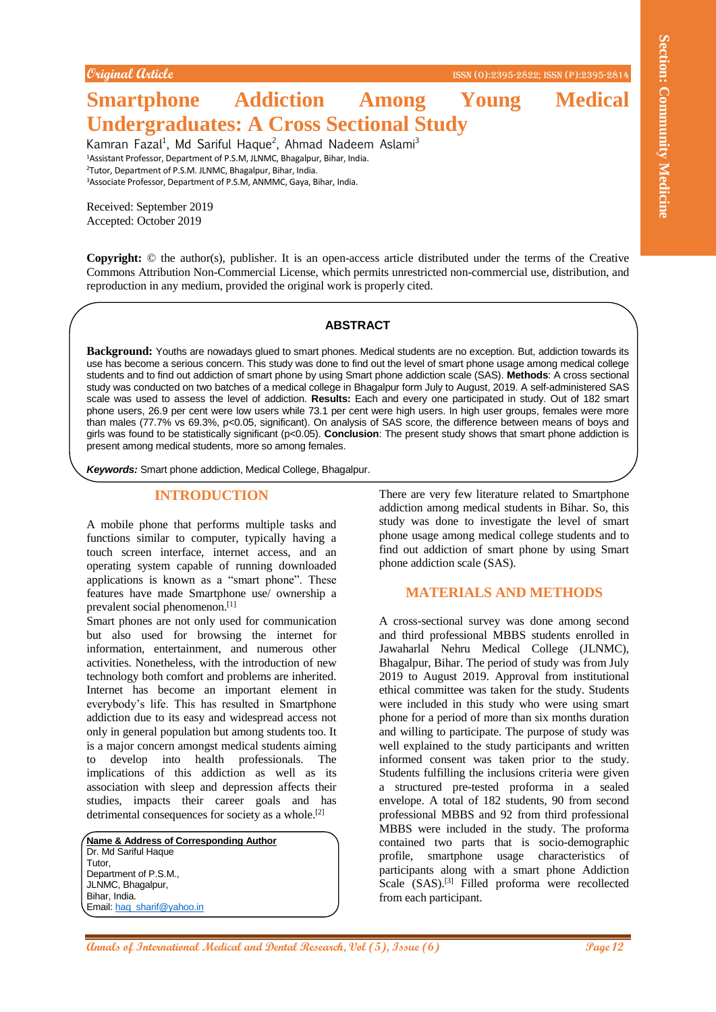**Original Article** ISSN (O):2395-2822; ISSN (P):2395-2814

# **Smartphone Addiction Among Young Medical Undergraduates: A Cross Sectional Study**

Kamran Fazal<sup>1</sup>, Md Sariful Haque<sup>2</sup>, Ahmad Nadeem Aslami<sup>3</sup> Assistant Professor, Department of P.S.M, JLNMC, Bhagalpur, Bihar, India. Tutor, Department of P.S.M. JLNMC, Bhagalpur, Bihar, India. Associate Professor, Department of P.S.M, ANMMC, Gaya, Bihar, India.

Received: September 2019 Accepted: October 2019

**Copyright:** © the author(s), publisher. It is an open-access article distributed under the terms of the Creative Commons Attribution Non-Commercial License, which permits unrestricted non-commercial use, distribution, and reproduction in any medium, provided the original work is properly cited.

## **ABSTRACT**

**Background:** Youths are nowadays glued to smart phones. Medical students are no exception. But, addiction towards its use has become a serious concern. This study was done to find out the level of smart phone usage among medical college students and to find out addiction of smart phone by using Smart phone addiction scale (SAS). **Methods**: A cross sectional study was conducted on two batches of a medical college in Bhagalpur form July to August, 2019. A self-administered SAS scale was used to assess the level of addiction. **Results:** Each and every one participated in study. Out of 182 smart phone users, 26.9 per cent were low users while 73.1 per cent were high users. In high user groups, females were more than males (77.7% vs 69.3%, p<0.05, significant). On analysis of SAS score, the difference between means of boys and girls was found to be statistically significant (p<0.05). **Conclusion**: The present study shows that smart phone addiction is present among medical students, more so among females.

*Keywords:* Smart phone addiction, Medical College, Bhagalpur.

# **INTRODUCTION**

A mobile phone that performs multiple tasks and functions similar to computer, typically having a touch screen interface, internet access, and an operating system capable of running downloaded applications is known as a "smart phone". These features have made Smartphone use/ ownership a prevalent social phenomenon.[1]

Smart phones are not only used for communication but also used for browsing the internet for information, entertainment, and numerous other activities. Nonetheless, with the introduction of new technology both comfort and problems are inherited. Internet has become an important element in everybody's life. This has resulted in Smartphone addiction due to its easy and widespread access not only in general population but among students too. It is a major concern amongst medical students aiming to develop into health professionals. The implications of this addiction as well as its association with sleep and depression affects their studies, impacts their career goals and has detrimental consequences for society as a whole.<sup>[2]</sup>

**Name & Address of Corresponding Author** Dr. Md Sariful Haque Tutor, Department of P.S.M., JLNMC, Bhagalpur, Bihar, India. Email: hag\_sharif@yahoo.in

There are very few literature related to Smartphone addiction among medical students in Bihar. So, this study was done to investigate the level of smart phone usage among medical college students and to find out addiction of smart phone by using Smart phone addiction scale (SAS).

# **MATERIALS AND METHODS**

**Annals of International Annals of International Annals of International Medicine<br>
<b>Annals of International Medicines Community Medicines Community Medicines Community Medicines Community Medicines Community Medicines Comm** A cross-sectional survey was done among second and third professional MBBS students enrolled in Jawaharlal Nehru Medical College (JLNMC), Bhagalpur, Bihar. The period of study was from July 2019 to August 2019. Approval from institutional ethical committee was taken for the study. Students were included in this study who were using smart phone for a period of more than six months duration and willing to participate. The purpose of study was well explained to the study participants and written informed consent was taken prior to the study. Students fulfilling the inclusions criteria were given a structured pre-tested proforma in a sealed envelope. A total of 182 students, 90 from second professional MBBS and 92 from third professional MBBS were included in the study. The proforma contained two parts that is socio-demographic profile, smartphone usage characteristics of participants along with a smart phone Addiction Scale (SAS).<sup>[3]</sup> Filled proforma were recollected from each participant.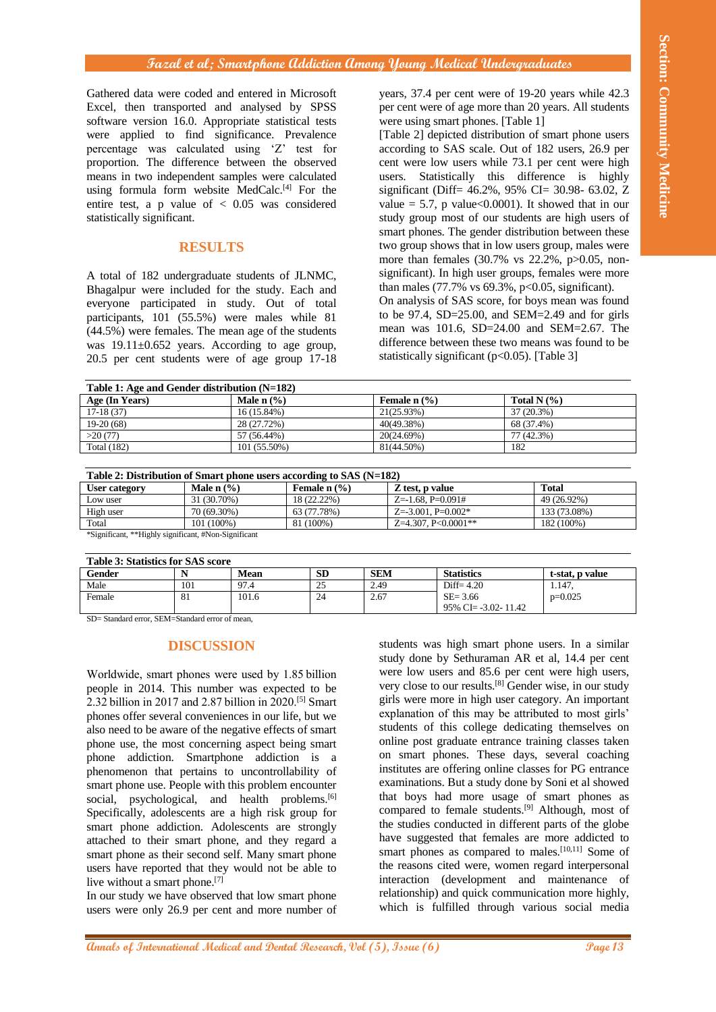## **Fazal et al; Smartphone Addiction Among Young Medical Undergraduates**

Gathered data were coded and entered in Microsoft Excel, then transported and analysed by SPSS software version 16.0. Appropriate statistical tests were applied to find significance. Prevalence percentage was calculated using 'Z' test for proportion. The difference between the observed means in two independent samples were calculated using formula form website MedCalc.<sup>[4]</sup> For the entire test, a p value of  $< 0.05$  was considered statistically significant.

# **RESULTS**

A total of 182 undergraduate students of JLNMC, Bhagalpur were included for the study. Each and everyone participated in study. Out of total participants, 101 (55.5%) were males while 81 (44.5%) were females. The mean age of the students was  $19.11 \pm 0.652$  years. According to age group, 20.5 per cent students were of age group 17-18 years, 37.4 per cent were of 19-20 years while 42.3 per cent were of age more than 20 years. All students were using smart phones. [Table 1]

[Table 2] depicted distribution of smart phone users according to SAS scale. Out of 182 users, 26.9 per cent were low users while 73.1 per cent were high users. Statistically this difference is highly significant (Diff= 46.2%, 95% CI= 30.98- 63.02, Z value = 5.7, p value< $0.0001$ ). It showed that in our study group most of our students are high users of smart phones. The gender distribution between these two group shows that in low users group, males were more than females (30.7% vs 22.2%, p>0.05, nonsignificant). In high user groups, females were more than males  $(77.7\% \text{ vs } 69.3\%, \text{ p} < 0.05, \text{ significant}).$ On analysis of SAS score, for boys mean was found to be  $97.4$ , SD=25.00, and SEM=2.49 and for girls mean was 101.6, SD=24.00 and SEM=2.67. The difference between these two means was found to be statistically significant ( $p<0.05$ ). [Table 3]

| Table 1: Age and Gender distribution $(N=182)$ |                 |                                       |                 |  |  |  |
|------------------------------------------------|-----------------|---------------------------------------|-----------------|--|--|--|
| Age (In Years)                                 | Male $n$ $\%$ ) | Female $n$ $\left(\frac{9}{6}\right)$ | Total N $(\% )$ |  |  |  |
| $17-18(37)$                                    | $16(15.84\%)$   | 21(25.93%)                            | 37 (20.3%)      |  |  |  |
| $19-20(68)$                                    | 28 (27.72%)     | 40(49.38%)                            | 68 (37.4%)      |  |  |  |
| >20(77)                                        | 57 (56.44%)     | 20(24.69%)                            | 77 (42.3%)      |  |  |  |
| <b>Total</b> (182)                             | $101(55.50\%)$  | 81(44.50%)                            | 182             |  |  |  |
|                                                |                 |                                       |                 |  |  |  |

| Table 2: Distribution of Smart phone users according to SAS $(N=182)$                                                                                                                                                                                                                                                            |                 |                          |                              |              |  |  |  |
|----------------------------------------------------------------------------------------------------------------------------------------------------------------------------------------------------------------------------------------------------------------------------------------------------------------------------------|-----------------|--------------------------|------------------------------|--------------|--|--|--|
| <b>User category</b>                                                                                                                                                                                                                                                                                                             | Male $n$ $\%$ ) | Female $n$ $\frac{9}{6}$ | Z test, p value              | <b>Total</b> |  |  |  |
| Low user                                                                                                                                                                                                                                                                                                                         | 31 (30.70%)     | 18 (22.22%)              | $Z = -1.68$ , $P = 0.091#$   | 49 (26.92%)  |  |  |  |
| High user                                                                                                                                                                                                                                                                                                                        | 70 (69.30%)     | 63 (77.78%)              | $Z = -3.001$ , $P = 0.002$ * | 133 (73.08%) |  |  |  |
| Total                                                                                                                                                                                                                                                                                                                            | $101(100\%)$    | 81 (100%)                | $Z=4.307$ , $P<0.0001**$     | 182 (100%)   |  |  |  |
| $\omega$ and $\omega$ and $\omega$ and $\omega$ and $\omega$ and $\omega$ and $\omega$ and $\omega$ and $\omega$ and $\omega$ and $\omega$ and $\omega$ and $\omega$ and $\omega$ and $\omega$ and $\omega$ and $\omega$ and $\omega$ and $\omega$ and $\omega$ and $\omega$ and $\omega$ and $\omega$ and $\omega$ and $\omega$ |                 |                          |                              |              |  |  |  |

\*Significant, \*\*Highly significant, #Non-Significant

| Table 3: Statistics for SAS score |     |             |           |            |                         |                 |  |  |  |
|-----------------------------------|-----|-------------|-----------|------------|-------------------------|-----------------|--|--|--|
| Gender                            |     | <b>Mean</b> | <b>SD</b> | <b>SEM</b> | <b>Statistics</b>       | t-stat, p value |  |  |  |
| Male                              | 101 | 97.4        | 25        | 2.49       | Diff= $4.20$            | 1.147           |  |  |  |
| Female                            | 81  | 101.6       | 24        | 2.67       | $SE = 3.66$             | $p=0.025$       |  |  |  |
|                                   |     |             |           |            | $95\%$ CI= -3.02- 11.42 |                 |  |  |  |

SD= Standard error, SEM=Standard error of mean,

# **DISCUSSION**

Worldwide, smart phones were used by 1.85 billion people in 2014. This number was expected to be 2.32 billion in 2017 and 2.87 billion in 2020.[5] Smart phones offer several conveniences in our life, but we also need to be aware of the negative effects of smart phone use, the most concerning aspect being smart phone addiction. Smartphone addiction is a phenomenon that pertains to uncontrollability of smart phone use. People with this problem encounter social, psychological, and health problems.<sup>[6]</sup> Specifically, adolescents are a high risk group for smart phone addiction. Adolescents are strongly attached to their smart phone, and they regard a smart phone as their second self. Many smart phone users have reported that they would not be able to live without a smart phone.<sup>[7]</sup>

In our study we have observed that low smart phone users were only 26.9 per cent and more number of

**Annal of A. Summerful Children Children Community Hence Section 2018 (1), Issue Children Children Children Children Children Children Children Children Children Children Children Children Children Children Children Child** students was high smart phone users. In a similar study done by Sethuraman AR et al, 14.4 per cent were low users and 85.6 per cent were high users, very close to our results.[8] Gender wise, in our study girls were more in high user category. An important explanation of this may be attributed to most girls' students of this college dedicating themselves on online post graduate entrance training classes taken on smart phones. These days, several coaching institutes are offering online classes for PG entrance examinations. But a study done by Soni et al showed that boys had more usage of smart phones as compared to female students.<sup>[9]</sup> Although, most of the studies conducted in different parts of the globe have suggested that females are more addicted to smart phones as compared to males.<sup>[10,11]</sup> Some of the reasons cited were, women regard interpersonal interaction (development and maintenance of relationship) and quick communication more highly, which is fulfilled through various social media